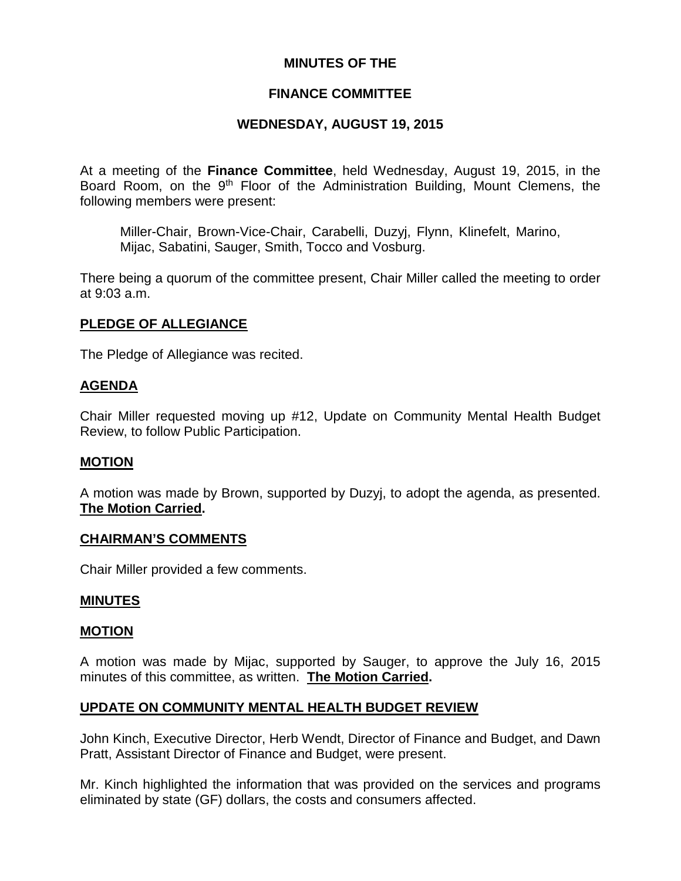## **MINUTES OF THE**

### **FINANCE COMMITTEE**

### **WEDNESDAY, AUGUST 19, 2015**

At a meeting of the **Finance Committee**, held Wednesday, August 19, 2015, in the Board Room, on the 9<sup>th</sup> Floor of the Administration Building, Mount Clemens, the following members were present:

Miller-Chair, Brown-Vice-Chair, Carabelli, Duzyj, Flynn, Klinefelt, Marino, Mijac, Sabatini, Sauger, Smith, Tocco and Vosburg.

There being a quorum of the committee present, Chair Miller called the meeting to order at 9:03 a.m.

### **PLEDGE OF ALLEGIANCE**

The Pledge of Allegiance was recited.

#### **AGENDA**

Chair Miller requested moving up #12, Update on Community Mental Health Budget Review, to follow Public Participation.

#### **MOTION**

A motion was made by Brown, supported by Duzyj, to adopt the agenda, as presented. **The Motion Carried.**

#### **CHAIRMAN'S COMMENTS**

Chair Miller provided a few comments.

#### **MINUTES**

#### **MOTION**

A motion was made by Mijac, supported by Sauger, to approve the July 16, 2015 minutes of this committee, as written. **The Motion Carried.**

#### **UPDATE ON COMMUNITY MENTAL HEALTH BUDGET REVIEW**

John Kinch, Executive Director, Herb Wendt, Director of Finance and Budget, and Dawn Pratt, Assistant Director of Finance and Budget, were present.

Mr. Kinch highlighted the information that was provided on the services and programs eliminated by state (GF) dollars, the costs and consumers affected.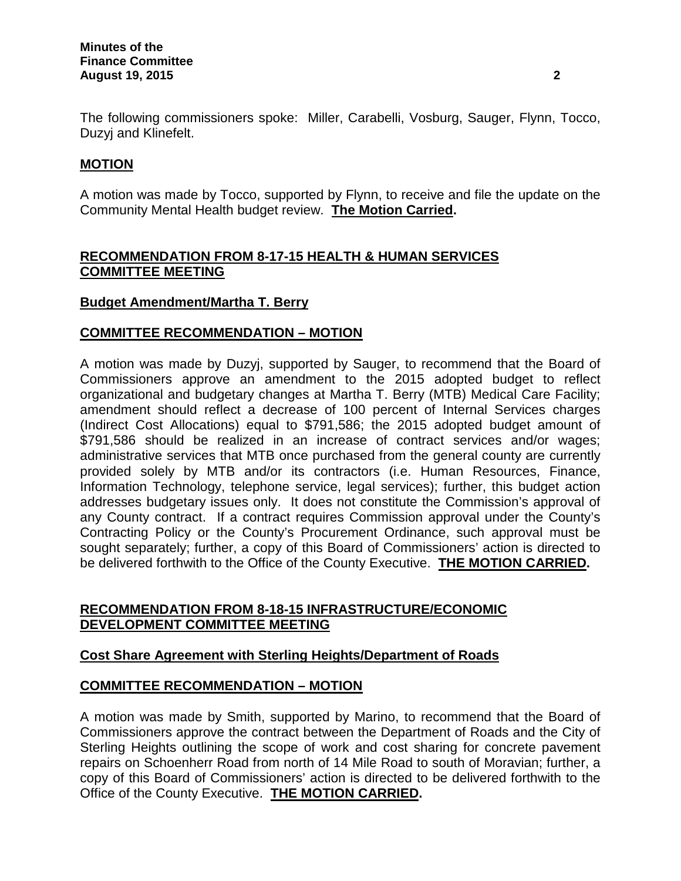The following commissioners spoke: Miller, Carabelli, Vosburg, Sauger, Flynn, Tocco, Duzyj and Klinefelt.

# **MOTION**

A motion was made by Tocco, supported by Flynn, to receive and file the update on the Community Mental Health budget review. **The Motion Carried.**

## **RECOMMENDATION FROM 8-17-15 HEALTH & HUMAN SERVICES COMMITTEE MEETING**

## **Budget Amendment/Martha T. Berry**

### **COMMITTEE RECOMMENDATION – MOTION**

A motion was made by Duzyj, supported by Sauger, to recommend that the Board of Commissioners approve an amendment to the 2015 adopted budget to reflect organizational and budgetary changes at Martha T. Berry (MTB) Medical Care Facility; amendment should reflect a decrease of 100 percent of Internal Services charges (Indirect Cost Allocations) equal to \$791,586; the 2015 adopted budget amount of \$791,586 should be realized in an increase of contract services and/or wages; administrative services that MTB once purchased from the general county are currently provided solely by MTB and/or its contractors (i.e. Human Resources, Finance, Information Technology, telephone service, legal services); further, this budget action addresses budgetary issues only. It does not constitute the Commission's approval of any County contract. If a contract requires Commission approval under the County's Contracting Policy or the County's Procurement Ordinance, such approval must be sought separately; further, a copy of this Board of Commissioners' action is directed to be delivered forthwith to the Office of the County Executive. **THE MOTION CARRIED.**

### **RECOMMENDATION FROM 8-18-15 INFRASTRUCTURE/ECONOMIC DEVELOPMENT COMMITTEE MEETING**

## **Cost Share Agreement with Sterling Heights/Department of Roads**

## **COMMITTEE RECOMMENDATION – MOTION**

A motion was made by Smith, supported by Marino, to recommend that the Board of Commissioners approve the contract between the Department of Roads and the City of Sterling Heights outlining the scope of work and cost sharing for concrete pavement repairs on Schoenherr Road from north of 14 Mile Road to south of Moravian; further, a copy of this Board of Commissioners' action is directed to be delivered forthwith to the Office of the County Executive. **THE MOTION CARRIED.**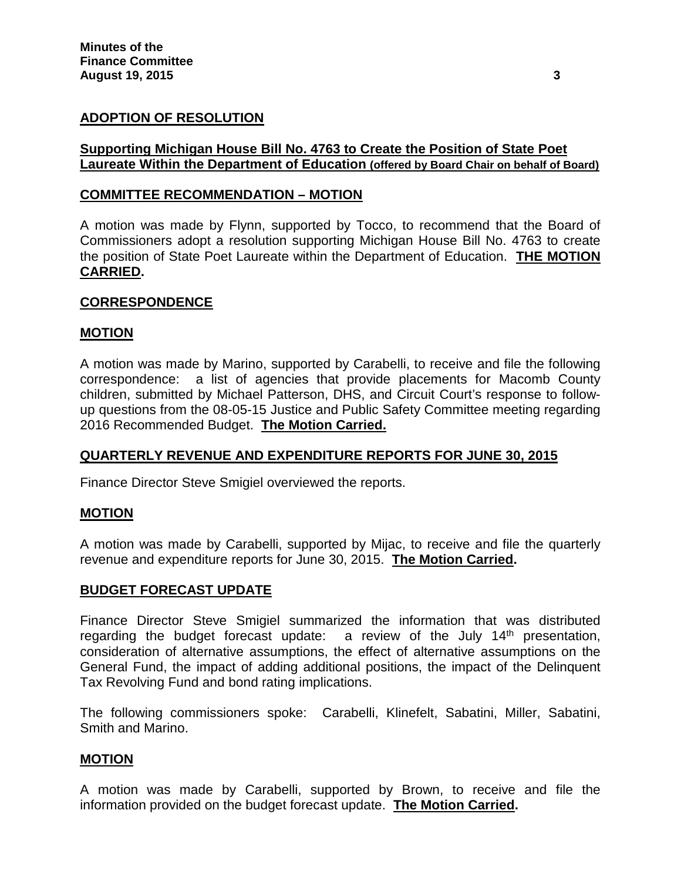# **ADOPTION OF RESOLUTION**

### **Supporting Michigan House Bill No. 4763 to Create the Position of State Poet Laureate Within the Department of Education (offered by Board Chair on behalf of Board)**

### **COMMITTEE RECOMMENDATION – MOTION**

A motion was made by Flynn, supported by Tocco, to recommend that the Board of Commissioners adopt a resolution supporting Michigan House Bill No. 4763 to create the position of State Poet Laureate within the Department of Education. **THE MOTION CARRIED.**

### **CORRESPONDENCE**

#### **MOTION**

A motion was made by Marino, supported by Carabelli, to receive and file the following correspondence: a list of agencies that provide placements for Macomb County children, submitted by Michael Patterson, DHS, and Circuit Court's response to followup questions from the 08-05-15 Justice and Public Safety Committee meeting regarding 2016 Recommended Budget. **The Motion Carried.**

#### **QUARTERLY REVENUE AND EXPENDITURE REPORTS FOR JUNE 30, 2015**

Finance Director Steve Smigiel overviewed the reports.

#### **MOTION**

A motion was made by Carabelli, supported by Mijac, to receive and file the quarterly revenue and expenditure reports for June 30, 2015. **The Motion Carried.**

#### **BUDGET FORECAST UPDATE**

Finance Director Steve Smigiel summarized the information that was distributed regarding the budget forecast update: a review of the July  $14<sup>th</sup>$  presentation, consideration of alternative assumptions, the effect of alternative assumptions on the General Fund, the impact of adding additional positions, the impact of the Delinquent Tax Revolving Fund and bond rating implications.

The following commissioners spoke: Carabelli, Klinefelt, Sabatini, Miller, Sabatini, Smith and Marino.

### **MOTION**

A motion was made by Carabelli, supported by Brown, to receive and file the information provided on the budget forecast update. **The Motion Carried.**